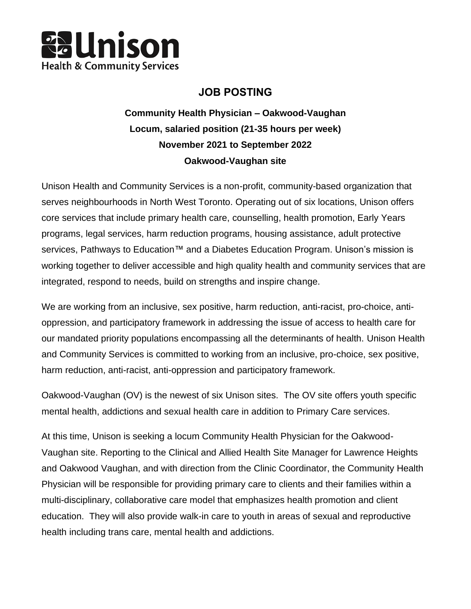

## **JOB POSTING**

**Community Health Physician – Oakwood-Vaughan Locum, salaried position (21-35 hours per week) November 2021 to September 2022 Oakwood-Vaughan site**

Unison Health and Community Services is a non-profit, community-based organization that serves neighbourhoods in North West Toronto. Operating out of six locations, Unison offers core services that include primary health care, counselling, health promotion, Early Years programs, legal services, harm reduction programs, housing assistance, adult protective services, Pathways to Education™ and a Diabetes Education Program. Unison's mission is working together to deliver accessible and high quality health and community services that are integrated, respond to needs, build on strengths and inspire change.

We are working from an inclusive, sex positive, harm reduction, anti-racist, pro-choice, antioppression, and participatory framework in addressing the issue of access to health care for our mandated priority populations encompassing all the determinants of health. Unison Health and Community Services is committed to working from an inclusive, pro-choice, sex positive, harm reduction, anti-racist, anti-oppression and participatory framework.

Oakwood-Vaughan (OV) is the newest of six Unison sites. The OV site offers youth specific mental health, addictions and sexual health care in addition to Primary Care services.

At this time, Unison is seeking a locum Community Health Physician for the Oakwood-Vaughan site. Reporting to the Clinical and Allied Health Site Manager for Lawrence Heights and Oakwood Vaughan, and with direction from the Clinic Coordinator, the Community Health Physician will be responsible for providing primary care to clients and their families within a multi-disciplinary, collaborative care model that emphasizes health promotion and client education. They will also provide walk-in care to youth in areas of sexual and reproductive health including trans care, mental health and addictions.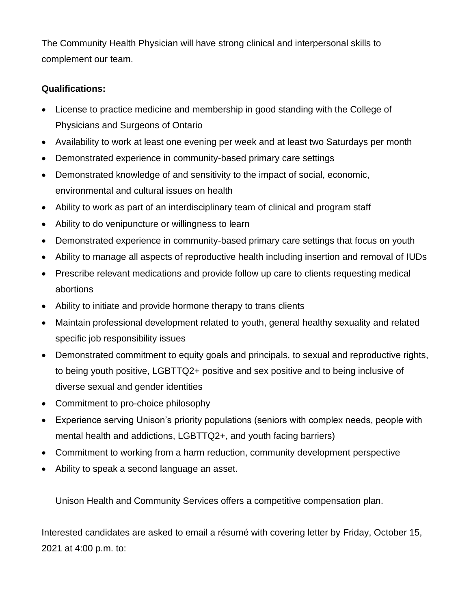The Community Health Physician will have strong clinical and interpersonal skills to complement our team.

## **Qualifications:**

- License to practice medicine and membership in good standing with the College of Physicians and Surgeons of Ontario
- Availability to work at least one evening per week and at least two Saturdays per month
- Demonstrated experience in community-based primary care settings
- Demonstrated knowledge of and sensitivity to the impact of social, economic, environmental and cultural issues on health
- Ability to work as part of an interdisciplinary team of clinical and program staff
- Ability to do venipuncture or willingness to learn
- Demonstrated experience in community-based primary care settings that focus on youth
- Ability to manage all aspects of reproductive health including insertion and removal of IUDs
- Prescribe relevant medications and provide follow up care to clients requesting medical abortions
- Ability to initiate and provide hormone therapy to trans clients
- Maintain professional development related to youth, general healthy sexuality and related specific job responsibility issues
- Demonstrated commitment to equity goals and principals, to sexual and reproductive rights, to being youth positive, LGBTTQ2+ positive and sex positive and to being inclusive of diverse sexual and gender identities
- Commitment to pro-choice philosophy
- Experience serving Unison's priority populations (seniors with complex needs, people with mental health and addictions, LGBTTQ2+, and youth facing barriers)
- Commitment to working from a harm reduction, community development perspective
- Ability to speak a second language an asset.

Unison Health and Community Services offers a competitive compensation plan.

Interested candidates are asked to email a résumé with covering letter by Friday, October 15, 2021 at 4:00 p.m. to: